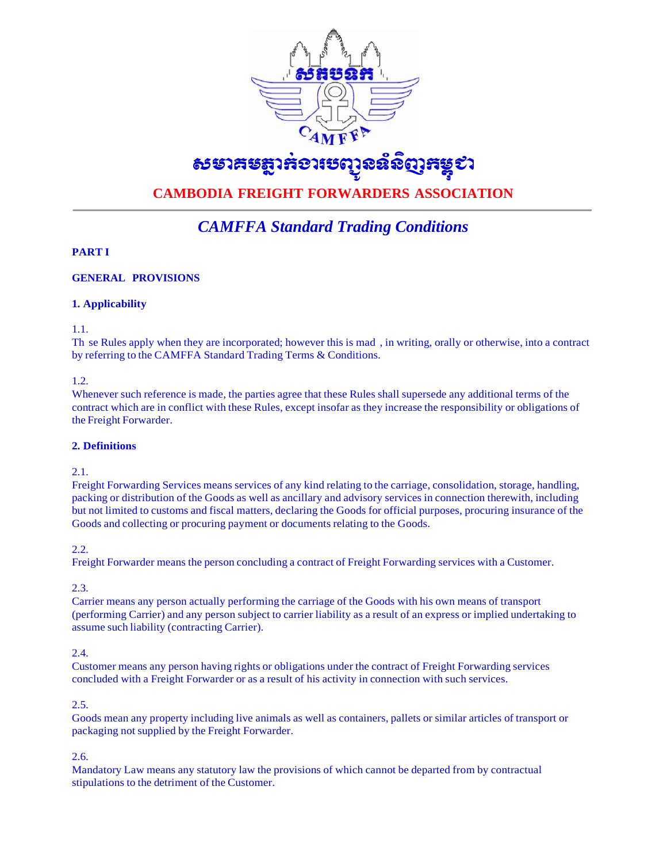

# ธรยาสะฐาลอาเธญฉล์ฉิญสะรุชา

# **CAMBODIA FREIGHT FORWARDERS ASSOCIATION**

# *CAMFFA Standard Trading Conditions*

# **PART I**

# **GENERAL PROVISIONS**

# **1. Applicability**

1.1.

Th se Rules apply when they are incorporated; however this is mad , in writing, orally or otherwise, into a contract by referring to the CAMFFA Standard Trading Terms & Conditions.

1.2.

Whenever such reference is made, the parties agree that these Rules shall supersede any additional terms of the contract which are in conflict with these Rules, except insofar as they increase the responsibility or obligations of the Freight Forwarder.

# **2. Definitions**

2.1.

Freight Forwarding Services means services of any kind relating to the carriage, consolidation, storage, handling, packing or distribution of the Goods as well as ancillary and advisory services in connection therewith, including but not limited to customs and fiscal matters, declaring the Goods for official purposes, procuring insurance of the Goods and collecting or procuring payment or documents relating to the Goods.

2.2.

Freight Forwarder means the person concluding a contract of Freight Forwarding services with a Customer.

2.3.

Carrier means any person actually performing the carriage of the Goods with his own means of transport (performing Carrier) and any person subject to carrier liability as a result of an express or implied undertaking to assume such liability (contracting Carrier).

## 2.4.

Customer means any person having rights or obligations under the contract of Freight Forwarding services concluded with a Freight Forwarder or as a result of his activity in connection with such services.

2.5.

Goods mean any property including live animals as well as containers, pallets or similar articles of transport or packaging not supplied by the Freight Forwarder.

2.6.

Mandatory Law means any statutory law the provisions of which cannot be departed from by contractual stipulations to the detriment of the Customer.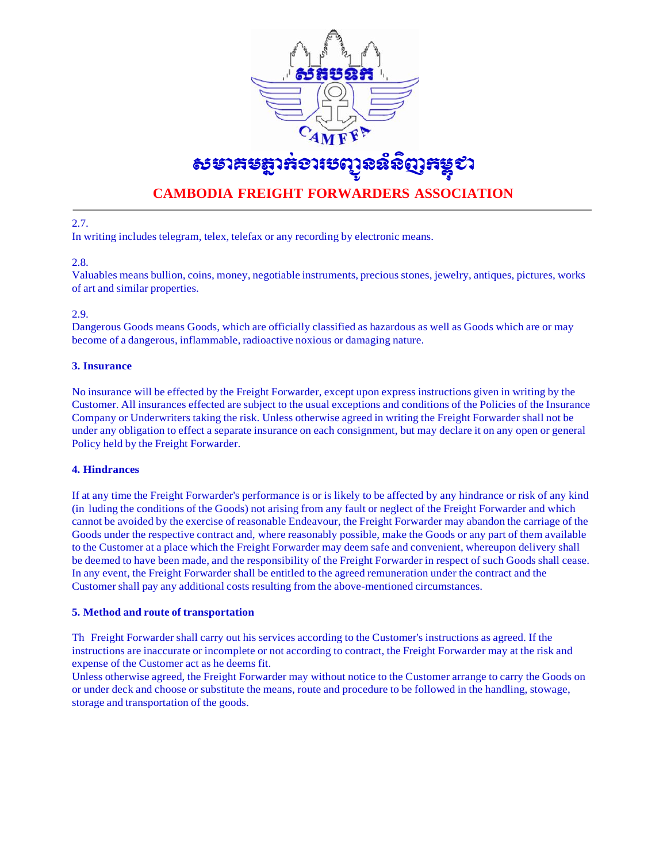

# **CAMBODIA FREIGHT FORWARDERS ASSOCIATION**

2.7.

In writing includes telegram, telex, telefax or any recording by electronic means.

2.8.

Valuables means bullion, coins, money, negotiable instruments, precious stones, jewelry, antiques, pictures, works of art and similar properties.

## 2.9.

Dangerous Goods means Goods, which are officially classified as hazardous as well as Goods which are or may become of a dangerous, inflammable, radioactive noxious or damaging nature.

# **3. Insurance**

No insurance will be effected by the Freight Forwarder, except upon express instructions given in writing by the Customer. All insurances effected are subject to the usual exceptions and conditions of the Policies of the Insurance Company or Underwriters taking the risk. Unless otherwise agreed in writing the Freight Forwarder shall not be under any obligation to effect a separate insurance on each consignment, but may declare it on any open or general Policy held by the Freight Forwarder.

## **4. Hindrances**

If at any time the Freight Forwarder's performance is or is likely to be affected by any hindrance or risk of any kind (in luding the conditions of the Goods) not arising from any fault or neglect of the Freight Forwarder and which cannot be avoided by the exercise of reasonable Endeavour, the Freight Forwarder may abandon the carriage of the Goods under the respective contract and, where reasonably possible, make the Goods or any part of them available to the Customer at a place which the Freight Forwarder may deem safe and convenient, whereupon delivery shall be deemed to have been made, and the responsibility of the Freight Forwarder in respect of such Goods shall cease. In any event, the Freight Forwarder shall be entitled to the agreed remuneration under the contract and the Customer shall pay any additional costs resulting from the above-mentioned circumstances.

## **5. Method and route of transportation**

Th Freight Forwarder shall carry out his services according to the Customer's instructions as agreed. If the instructions are inaccurate or incomplete or not according to contract, the Freight Forwarder may at the risk and expense of the Customer act as he deems fit.

Unless otherwise agreed, the Freight Forwarder may without notice to the Customer arrange to carry the Goods on or under deck and choose or substitute the means, route and procedure to be followed in the handling, stowage, storage and transportation of the goods.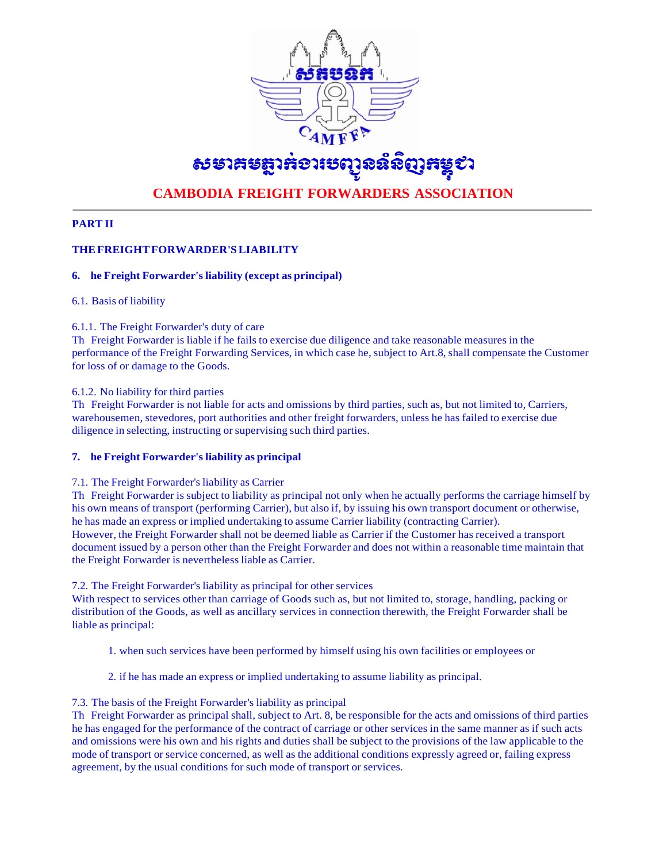

# ธระวันสุดและเจ้าและรู้อย่าง

# **CAMBODIA FREIGHT FORWARDERS ASSOCIATION**

# **PART II**

# **THEFREIGHTFORWARDER'SLIABILITY**

# **6. he Freight Forwarder's liability (except as principal)**

## 6.1. Basis of liability

#### 6.1.1. The Freight Forwarder's duty of care

Th Freight Forwarder is liable if he fails to exercise due diligence and take reasonable measures in the performance of the Freight Forwarding Services, in which case he, subject to Art.8, shall compensate the Customer for loss of or damage to the Goods.

#### 6.1.2. No liability for third parties

Th Freight Forwarder is not liable for acts and omissions by third parties, such as, but not limited to, Carriers, warehousemen, stevedores, port authorities and other freight forwarders, unless he has failed to exercise due diligence in selecting, instructing or supervising such third parties.

## **7. he Freight Forwarder's liability as principal**

## 7.1. The Freight Forwarder's liability as Carrier

Th Freight Forwarder is subject to liability as principal not only when he actually performs the carriage himself by his own means of transport (performing Carrier), but also if, by issuing his own transport document or otherwise, he has made an express or implied undertaking to assume Carrier liability (contracting Carrier). However, the Freight Forwarder shall not be deemed liable as Carrier if the Customer has received a transport document issued by a person other than the Freight Forwarder and does not within a reasonable time maintain that the Freight Forwarder is nevertheless liable as Carrier.

#### 7.2. The Freight Forwarder's liability as principal for other services

With respect to services other than carriage of Goods such as, but not limited to, storage, handling, packing or distribution of the Goods, as well as ancillary services in connection therewith, the Freight Forwarder shall be liable as principal:

- 1. when such services have been performed by himself using his own facilities or employees or
- 2. if he has made an express or implied undertaking to assume liability as principal.

## 7.3. The basis of the Freight Forwarder's liability as principal

Th Freight Forwarder as principal shall, subject to Art. 8, be responsible for the acts and omissions of third parties he has engaged for the performance of the contract of carriage or other services in the same manner as if such acts and omissions were his own and his rights and duties shall be subject to the provisions of the law applicable to the mode of transport or service concerned, as well as the additional conditions expressly agreed or, failing express agreement, by the usual conditions for such mode of transport or services.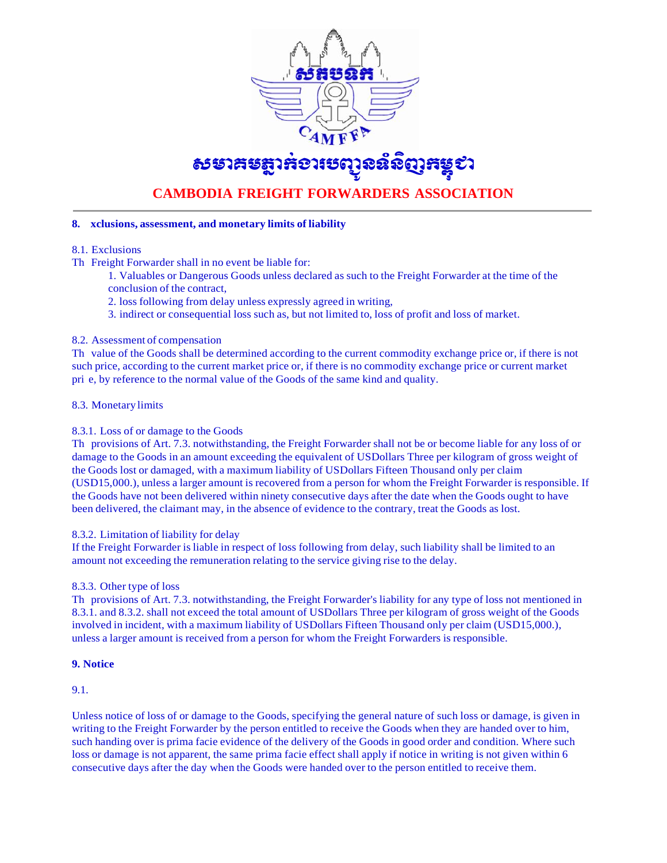

# ธระวันสุดและเจ้าระจะรู้จะ

# **CAMBODIA FREIGHT FORWARDERS ASSOCIATION**

## **8. xclusions, assessment, and monetary limits of liability**

- 8.1. Exclusions
- Th Freight Forwarder shall in no event be liable for:
	- 1. Valuables or Dangerous Goods unless declared as such to the Freight Forwarder at the time of the conclusion of the contract,
	- 2. loss following from delay unless expressly agreed in writing,
	- 3. indirect or consequential loss such as, but not limited to, loss of profit and loss of market.

## 8.2. Assessment of compensation

Th value of the Goods shall be determined according to the current commodity exchange price or, if there is not such price, according to the current market price or, if there is no commodity exchange price or current market pri e, by reference to the normal value of the Goods of the same kind and quality.

# 8.3. Monetary limits

## 8.3.1. Loss of or damage to the Goods

Th provisions of Art. 7.3. notwithstanding, the Freight Forwarder shall not be or become liable for any loss of or damage to the Goods in an amount exceeding the equivalent of USDollars Three per kilogram of gross weight of the Goods lost or damaged, with a maximum liability of USDollars Fifteen Thousand only per claim (USD15,000.), unless a larger amount is recovered from a person for whom the Freight Forwarder is responsible. If the Goods have not been delivered within ninety consecutive days after the date when the Goods ought to have been delivered, the claimant may, in the absence of evidence to the contrary, treat the Goods as lost.

## 8.3.2. Limitation of liability for delay

If the Freight Forwarder is liable in respect of loss following from delay, such liability shall be limited to an amount not exceeding the remuneration relating to the service giving rise to the delay.

## 8.3.3. Other type of loss

Th provisions of Art. 7.3. notwithstanding, the Freight Forwarder's liability for any type of loss not mentioned in 8.3.1. and 8.3.2. shall not exceed the total amount of USDollars Three per kilogram of gross weight of the Goods involved in incident, with a maximum liability of USDollars Fifteen Thousand only per claim (USD15,000.), unless a larger amount is received from a person for whom the Freight Forwarders is responsible.

## **9. Notice**

9.1.

Unless notice of loss of or damage to the Goods, specifying the general nature of such loss or damage, is given in writing to the Freight Forwarder by the person entitled to receive the Goods when they are handed over to him, such handing over is prima facie evidence of the delivery of the Goods in good order and condition. Where such loss or damage is not apparent, the same prima facie effect shall apply if notice in writing is not given within 6 consecutive days after the day when the Goods were handed over to the person entitled to receive them.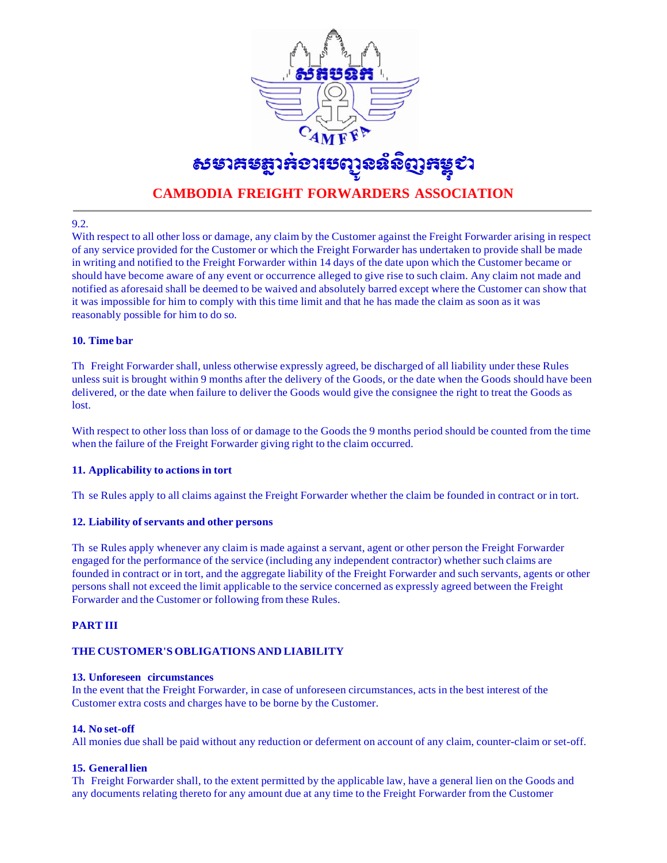

# **CAMBODIA FREIGHT FORWARDERS ASSOCIATION**

#### 9.2.

With respect to all other loss or damage, any claim by the Customer against the Freight Forwarder arising in respect of any service provided for the Customer or which the Freight Forwarder has undertaken to provide shall be made in writing and notified to the Freight Forwarder within 14 days of the date upon which the Customer became or should have become aware of any event or occurrence alleged to give rise to such claim. Any claim not made and notified as aforesaid shall be deemed to be waived and absolutely barred except where the Customer can show that it was impossible for him to comply with this time limit and that he has made the claim as soon as it was reasonably possible for him to do so.

#### **10. Time bar**

Th Freight Forwarder shall, unless otherwise expressly agreed, be discharged of all liability under these Rules unless suit is brought within 9 months after the delivery of the Goods, or the date when the Goods should have been delivered, or the date when failure to deliver the Goods would give the consignee the right to treat the Goods as lost.

With respect to other loss than loss of or damage to the Goods the 9 months period should be counted from the time when the failure of the Freight Forwarder giving right to the claim occurred.

## **11. Applicability to actions in tort**

Th se Rules apply to all claims against the Freight Forwarder whether the claim be founded in contract or in tort.

## **12. Liability of servants and other persons**

Th se Rules apply whenever any claim is made against a servant, agent or other person the Freight Forwarder engaged for the performance of the service (including any independent contractor) whether such claims are founded in contract or in tort, and the aggregate liability of the Freight Forwarder and such servants, agents or other persons shall not exceed the limit applicable to the service concerned as expressly agreed between the Freight Forwarder and the Customer or following from these Rules.

## **PART III**

#### **THE CUSTOMER'S OBLIGATIONS AND LIABILITY**

#### **13. Unforeseen circumstances**

In the event that the Freight Forwarder, in case of unforeseen circumstances, acts in the best interest of the Customer extra costs and charges have to be borne by the Customer.

#### **14. No set-off**

All monies due shall be paid without any reduction or deferment on account of any claim, counter-claim or set-off.

#### **15. General lien**

Th Freight Forwarder shall, to the extent permitted by the applicable law, have a general lien on the Goods and any documents relating thereto for any amount due at any time to the Freight Forwarder from the Customer